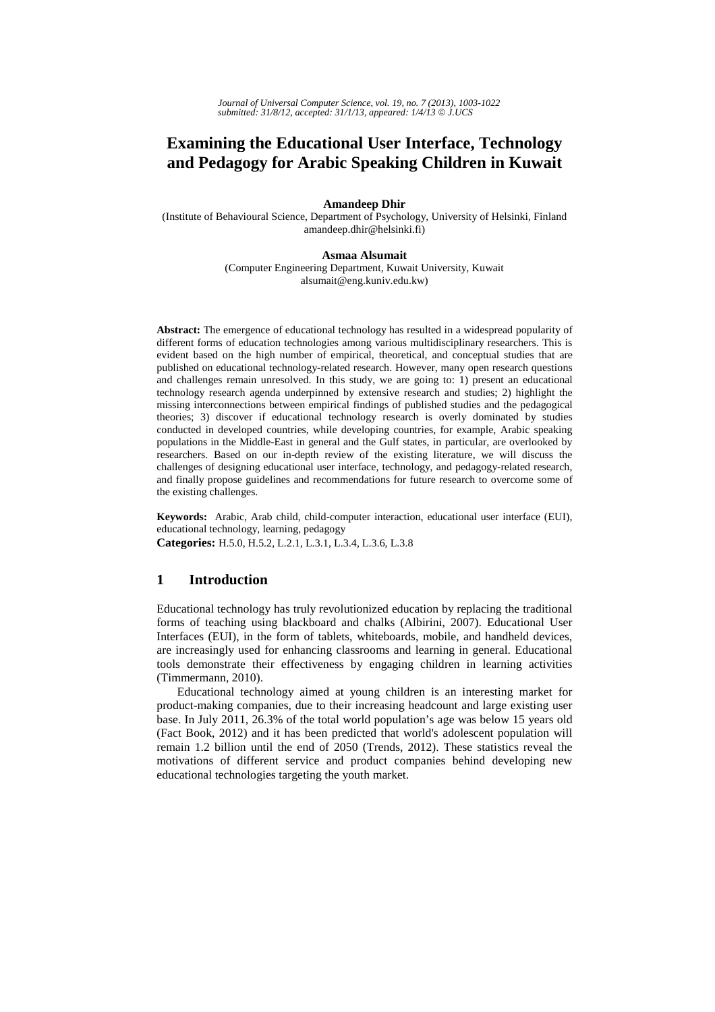# **Examining the Educational User Interface, Technology and Pedagogy for Arabic Speaking Children in Kuwait**

#### **Amandeep Dhir**

(Institute of Behavioural Science, Department of Psychology, University of Helsinki, Finland amandeep.dhir@helsinki.fi)

#### **Asmaa Alsumait**

(Computer Engineering Department, Kuwait University, Kuwait alsumait@eng.kuniv.edu.kw)

**Abstract:** The emergence of educational technology has resulted in a widespread popularity of different forms of education technologies among various multidisciplinary researchers. This is evident based on the high number of empirical, theoretical, and conceptual studies that are published on educational technology-related research. However, many open research questions and challenges remain unresolved. In this study, we are going to: 1) present an educational technology research agenda underpinned by extensive research and studies; 2) highlight the missing interconnections between empirical findings of published studies and the pedagogical theories; 3) discover if educational technology research is overly dominated by studies conducted in developed countries, while developing countries, for example, Arabic speaking populations in the Middle-East in general and the Gulf states, in particular, are overlooked by researchers. Based on our in-depth review of the existing literature, we will discuss the challenges of designing educational user interface, technology, and pedagogy-related research, and finally propose guidelines and recommendations for future research to overcome some of the existing challenges.

**Keywords:** Arabic, Arab child, child-computer interaction, educational user interface (EUI), educational technology, learning, pedagogy **Categories:** H.5.0, H.5.2, L.2.1, L.3.1, L.3.4, L.3.6, L.3.8

# **1 Introduction**

Educational technology has truly revolutionized education by replacing the traditional forms of teaching using blackboard and chalks (Albirini, 2007). Educational User Interfaces (EUI), in the form of tablets, whiteboards, mobile, and handheld devices, are increasingly used for enhancing classrooms and learning in general. Educational tools demonstrate their effectiveness by engaging children in learning activities (Timmermann, 2010).

Educational technology aimed at young children is an interesting market for product-making companies, due to their increasing headcount and large existing user base. In July 2011, 26.3% of the total world population's age was below 15 years old (Fact Book, 2012) and it has been predicted that world's adolescent population will remain 1.2 billion until the end of 2050 (Trends, 2012). These statistics reveal the motivations of different service and product companies behind developing new educational technologies targeting the youth market.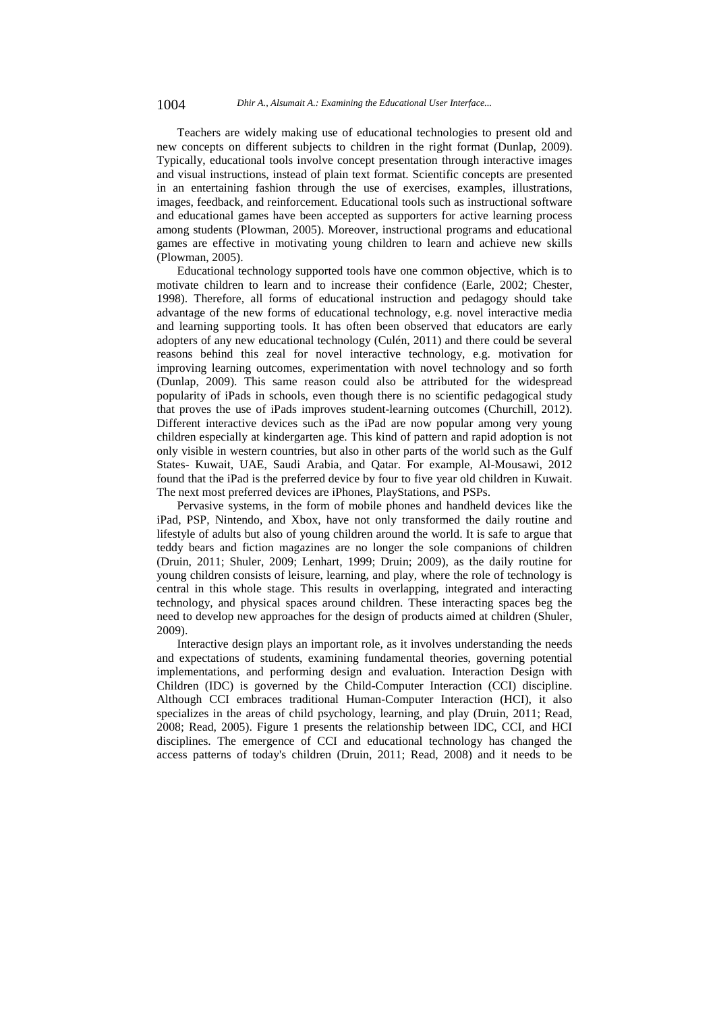Teachers are widely making use of educational technologies to present old and new concepts on different subjects to children in the right format (Dunlap, 2009). Typically, educational tools involve concept presentation through interactive images and visual instructions, instead of plain text format. Scientific concepts are presented in an entertaining fashion through the use of exercises, examples, illustrations, images, feedback, and reinforcement. Educational tools such as instructional software and educational games have been accepted as supporters for active learning process among students (Plowman, 2005). Moreover, instructional programs and educational games are effective in motivating young children to learn and achieve new skills (Plowman, 2005).

Educational technology supported tools have one common objective, which is to motivate children to learn and to increase their confidence (Earle, 2002; Chester, 1998). Therefore, all forms of educational instruction and pedagogy should take advantage of the new forms of educational technology, e.g. novel interactive media and learning supporting tools. It has often been observed that educators are early adopters of any new educational technology (Culén, 2011) and there could be several reasons behind this zeal for novel interactive technology, e.g. motivation for improving learning outcomes, experimentation with novel technology and so forth (Dunlap, 2009). This same reason could also be attributed for the widespread popularity of iPads in schools, even though there is no scientific pedagogical study that proves the use of iPads improves student-learning outcomes (Churchill, 2012). Different interactive devices such as the iPad are now popular among very young children especially at kindergarten age. This kind of pattern and rapid adoption is not only visible in western countries, but also in other parts of the world such as the Gulf States- Kuwait, UAE, Saudi Arabia, and Qatar. For example, Al-Mousawi, 2012 found that the iPad is the preferred device by four to five year old children in Kuwait. The next most preferred devices are iPhones, PlayStations, and PSPs.

Pervasive systems, in the form of mobile phones and handheld devices like the iPad, PSP, Nintendo, and Xbox, have not only transformed the daily routine and lifestyle of adults but also of young children around the world. It is safe to argue that teddy bears and fiction magazines are no longer the sole companions of children (Druin, 2011; Shuler, 2009; Lenhart, 1999; Druin; 2009), as the daily routine for young children consists of leisure, learning, and play, where the role of technology is central in this whole stage. This results in overlapping, integrated and interacting technology, and physical spaces around children. These interacting spaces beg the need to develop new approaches for the design of products aimed at children (Shuler, 2009).

Interactive design plays an important role, as it involves understanding the needs and expectations of students, examining fundamental theories, governing potential implementations, and performing design and evaluation. Interaction Design with Children (IDC) is governed by the Child-Computer Interaction (CCI) discipline. Although CCI embraces traditional Human-Computer Interaction (HCI), it also specializes in the areas of child psychology, learning, and play (Druin, 2011; Read, 2008; Read, 2005). Figure 1 presents the relationship between IDC, CCI, and HCI disciplines. The emergence of CCI and educational technology has changed the access patterns of today's children (Druin, 2011; Read, 2008) and it needs to be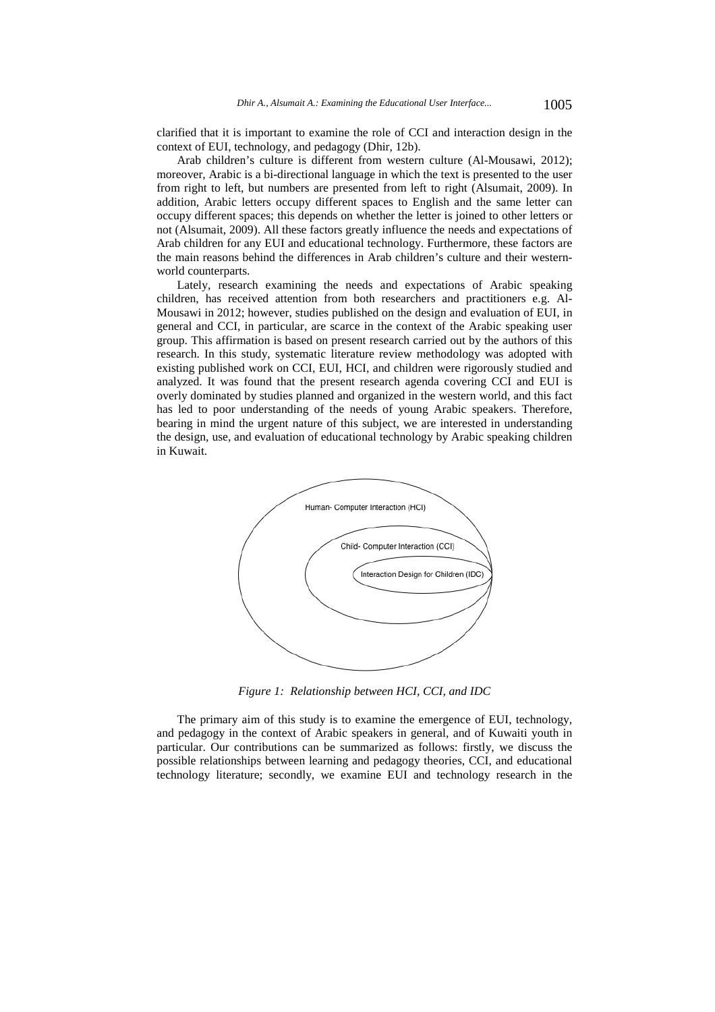clarified that it is important to examine the role of CCI and interaction design in the context of EUI, technology, and pedagogy (Dhir, 12b).

Arab children's culture is different from western culture (Al-Mousawi, 2012); moreover, Arabic is a bi-directional language in which the text is presented to the user from right to left, but numbers are presented from left to right (Alsumait, 2009). In addition, Arabic letters occupy different spaces to English and the same letter can occupy different spaces; this depends on whether the letter is joined to other letters or not (Alsumait, 2009). All these factors greatly influence the needs and expectations of Arab children for any EUI and educational technology. Furthermore, these factors are the main reasons behind the differences in Arab children's culture and their westernworld counterparts.

Lately, research examining the needs and expectations of Arabic speaking children, has received attention from both researchers and practitioners e.g. Al-Mousawi in 2012; however, studies published on the design and evaluation of EUI, in general and CCI, in particular, are scarce in the context of the Arabic speaking user group. This affirmation is based on present research carried out by the authors of this research. In this study, systematic literature review methodology was adopted with existing published work on CCI, EUI, HCI, and children were rigorously studied and analyzed. It was found that the present research agenda covering CCI and EUI is overly dominated by studies planned and organized in the western world, and this fact has led to poor understanding of the needs of young Arabic speakers. Therefore, bearing in mind the urgent nature of this subject, we are interested in understanding the design, use, and evaluation of educational technology by Arabic speaking children in Kuwait.



*Figure 1: Relationship between HCI, CCI, and IDC* 

The primary aim of this study is to examine the emergence of EUI, technology, and pedagogy in the context of Arabic speakers in general, and of Kuwaiti youth in particular. Our contributions can be summarized as follows: firstly, we discuss the possible relationships between learning and pedagogy theories, CCI, and educational technology literature; secondly, we examine EUI and technology research in the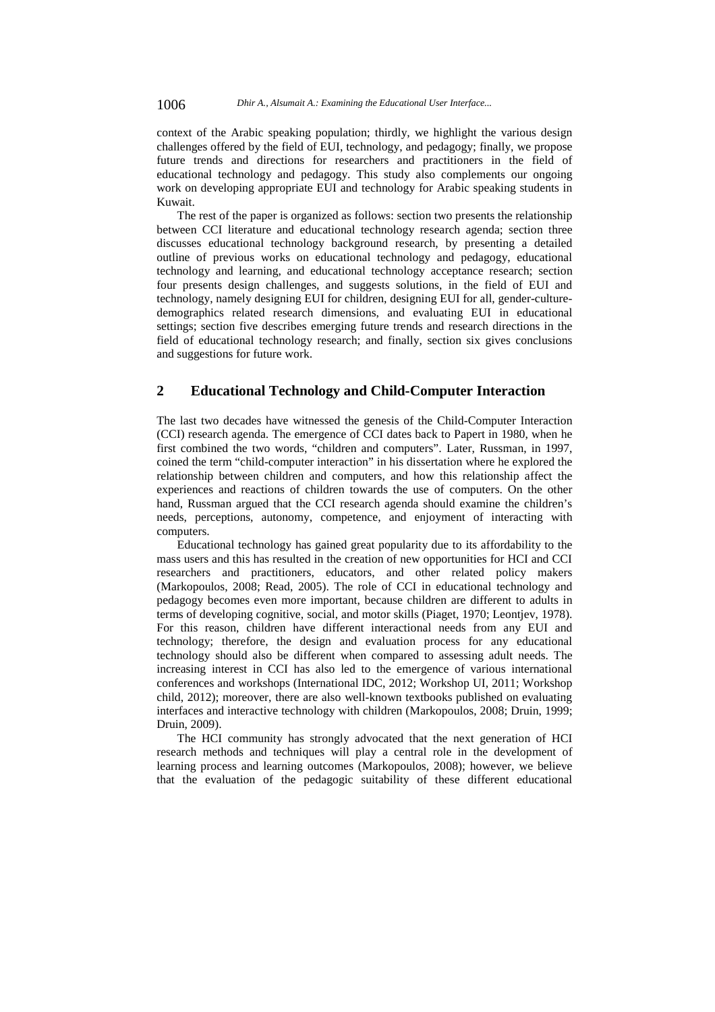context of the Arabic speaking population; thirdly, we highlight the various design challenges offered by the field of EUI, technology, and pedagogy; finally, we propose future trends and directions for researchers and practitioners in the field of educational technology and pedagogy. This study also complements our ongoing work on developing appropriate EUI and technology for Arabic speaking students in Kuwait.

The rest of the paper is organized as follows: section two presents the relationship between CCI literature and educational technology research agenda; section three discusses educational technology background research, by presenting a detailed outline of previous works on educational technology and pedagogy, educational technology and learning, and educational technology acceptance research; section four presents design challenges, and suggests solutions, in the field of EUI and technology, namely designing EUI for children, designing EUI for all, gender-culturedemographics related research dimensions, and evaluating EUI in educational settings; section five describes emerging future trends and research directions in the field of educational technology research; and finally, section six gives conclusions and suggestions for future work.

# **2 Educational Technology and Child-Computer Interaction**

The last two decades have witnessed the genesis of the Child-Computer Interaction (CCI) research agenda. The emergence of CCI dates back to Papert in 1980, when he first combined the two words, "children and computers". Later, Russman, in 1997, coined the term "child-computer interaction" in his dissertation where he explored the relationship between children and computers, and how this relationship affect the experiences and reactions of children towards the use of computers. On the other hand, Russman argued that the CCI research agenda should examine the children's needs, perceptions, autonomy, competence, and enjoyment of interacting with computers.

Educational technology has gained great popularity due to its affordability to the mass users and this has resulted in the creation of new opportunities for HCI and CCI researchers and practitioners, educators, and other related policy makers (Markopoulos, 2008; Read, 2005). The role of CCI in educational technology and pedagogy becomes even more important, because children are different to adults in terms of developing cognitive, social, and motor skills (Piaget, 1970; Leontjev, 1978). For this reason, children have different interactional needs from any EUI and technology; therefore, the design and evaluation process for any educational technology should also be different when compared to assessing adult needs. The increasing interest in CCI has also led to the emergence of various international conferences and workshops (International IDC, 2012; Workshop UI, 2011; Workshop child, 2012); moreover, there are also well-known textbooks published on evaluating interfaces and interactive technology with children (Markopoulos, 2008; Druin, 1999; Druin, 2009).

The HCI community has strongly advocated that the next generation of HCI research methods and techniques will play a central role in the development of learning process and learning outcomes (Markopoulos, 2008); however, we believe that the evaluation of the pedagogic suitability of these different educational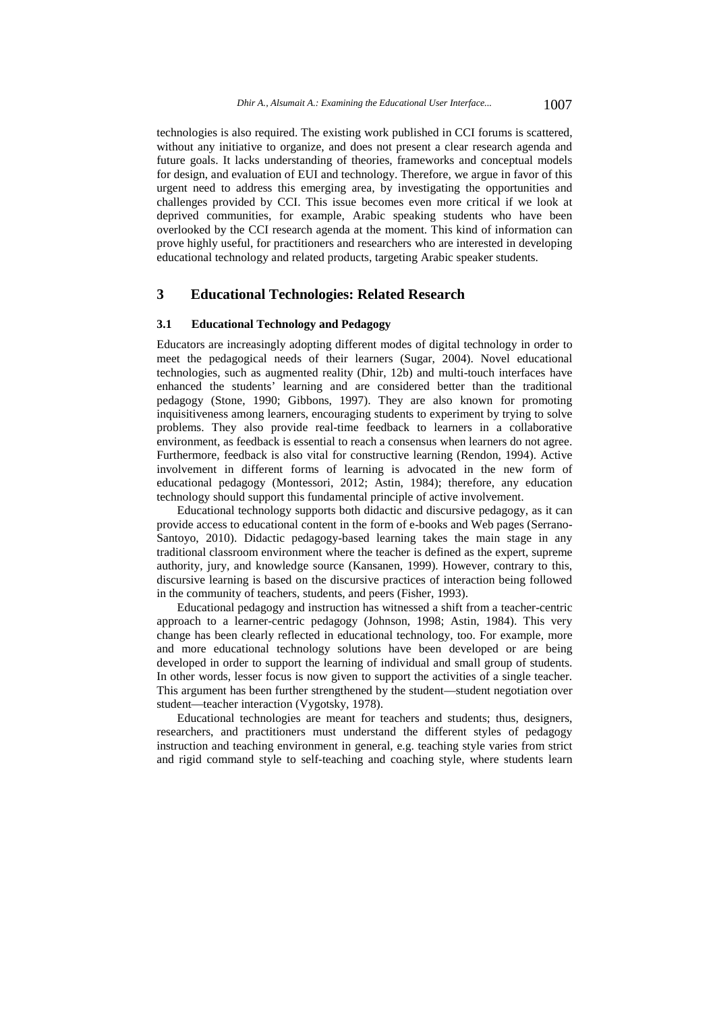technologies is also required. The existing work published in CCI forums is scattered, without any initiative to organize, and does not present a clear research agenda and future goals. It lacks understanding of theories, frameworks and conceptual models for design, and evaluation of EUI and technology. Therefore, we argue in favor of this urgent need to address this emerging area, by investigating the opportunities and challenges provided by CCI. This issue becomes even more critical if we look at deprived communities, for example, Arabic speaking students who have been overlooked by the CCI research agenda at the moment. This kind of information can prove highly useful, for practitioners and researchers who are interested in developing educational technology and related products, targeting Arabic speaker students.

# **3 Educational Technologies: Related Research**

### **3.1 Educational Technology and Pedagogy**

Educators are increasingly adopting different modes of digital technology in order to meet the pedagogical needs of their learners (Sugar, 2004). Novel educational technologies, such as augmented reality (Dhir, 12b) and multi-touch interfaces have enhanced the students' learning and are considered better than the traditional pedagogy (Stone, 1990; Gibbons, 1997). They are also known for promoting inquisitiveness among learners, encouraging students to experiment by trying to solve problems. They also provide real-time feedback to learners in a collaborative environment, as feedback is essential to reach a consensus when learners do not agree. Furthermore, feedback is also vital for constructive learning (Rendon, 1994). Active involvement in different forms of learning is advocated in the new form of educational pedagogy (Montessori, 2012; Astin, 1984); therefore, any education technology should support this fundamental principle of active involvement.

Educational technology supports both didactic and discursive pedagogy, as it can provide access to educational content in the form of e-books and Web pages (Serrano-Santoyo, 2010). Didactic pedagogy-based learning takes the main stage in any traditional classroom environment where the teacher is defined as the expert, supreme authority, jury, and knowledge source (Kansanen, 1999). However, contrary to this, discursive learning is based on the discursive practices of interaction being followed in the community of teachers, students, and peers (Fisher, 1993).

Educational pedagogy and instruction has witnessed a shift from a teacher-centric approach to a learner-centric pedagogy (Johnson, 1998; Astin, 1984). This very change has been clearly reflected in educational technology, too. For example, more and more educational technology solutions have been developed or are being developed in order to support the learning of individual and small group of students. In other words, lesser focus is now given to support the activities of a single teacher. This argument has been further strengthened by the student—student negotiation over student—teacher interaction (Vygotsky, 1978).

Educational technologies are meant for teachers and students; thus, designers, researchers, and practitioners must understand the different styles of pedagogy instruction and teaching environment in general, e.g. teaching style varies from strict and rigid command style to self-teaching and coaching style, where students learn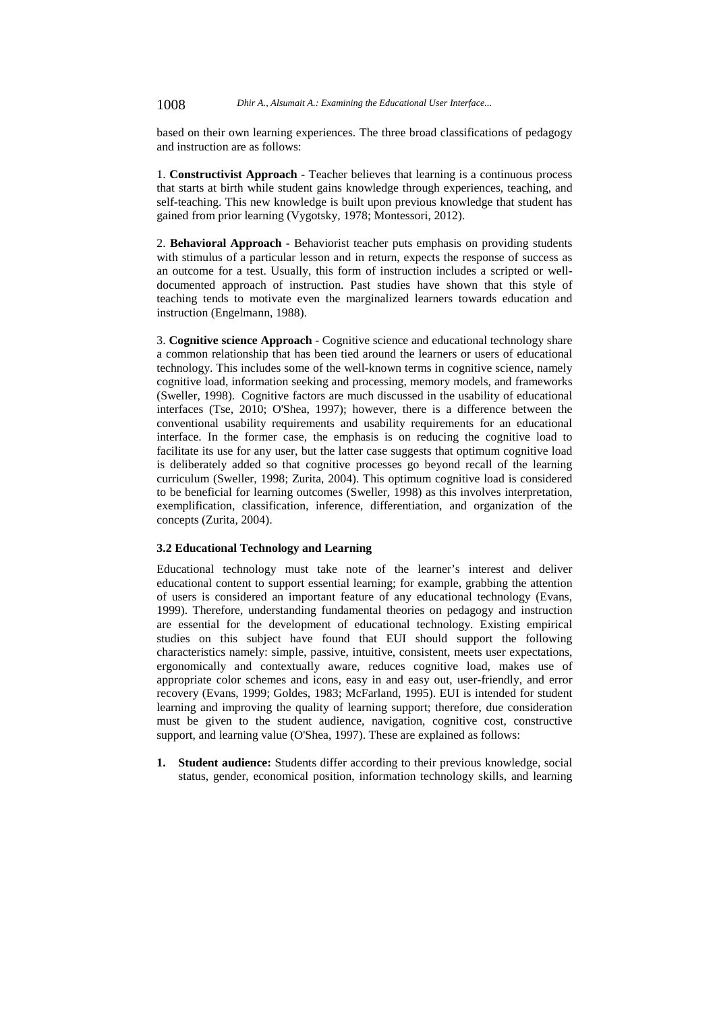based on their own learning experiences. The three broad classifications of pedagogy and instruction are as follows:

1. **Constructivist Approach -** Teacher believes that learning is a continuous process that starts at birth while student gains knowledge through experiences, teaching, and self-teaching. This new knowledge is built upon previous knowledge that student has gained from prior learning (Vygotsky, 1978; Montessori, 2012).

2. **Behavioral Approach -** Behaviorist teacher puts emphasis on providing students with stimulus of a particular lesson and in return, expects the response of success as an outcome for a test. Usually, this form of instruction includes a scripted or welldocumented approach of instruction. Past studies have shown that this style of teaching tends to motivate even the marginalized learners towards education and instruction (Engelmann, 1988).

3. **Cognitive science Approach** - Cognitive science and educational technology share a common relationship that has been tied around the learners or users of educational technology. This includes some of the well-known terms in cognitive science, namely cognitive load, information seeking and processing, memory models, and frameworks (Sweller, 1998). Cognitive factors are much discussed in the usability of educational interfaces (Tse, 2010; O'Shea, 1997); however, there is a difference between the conventional usability requirements and usability requirements for an educational interface. In the former case, the emphasis is on reducing the cognitive load to facilitate its use for any user, but the latter case suggests that optimum cognitive load is deliberately added so that cognitive processes go beyond recall of the learning curriculum (Sweller, 1998; Zurita, 2004). This optimum cognitive load is considered to be beneficial for learning outcomes (Sweller, 1998) as this involves interpretation, exemplification, classification, inference, differentiation, and organization of the concepts (Zurita, 2004).

#### **3.2 Educational Technology and Learning**

Educational technology must take note of the learner's interest and deliver educational content to support essential learning; for example, grabbing the attention of users is considered an important feature of any educational technology (Evans, 1999). Therefore, understanding fundamental theories on pedagogy and instruction are essential for the development of educational technology. Existing empirical studies on this subject have found that EUI should support the following characteristics namely: simple, passive, intuitive, consistent, meets user expectations, ergonomically and contextually aware, reduces cognitive load, makes use of appropriate color schemes and icons, easy in and easy out, user-friendly, and error recovery (Evans, 1999; Goldes, 1983; McFarland, 1995). EUI is intended for student learning and improving the quality of learning support; therefore, due consideration must be given to the student audience, navigation, cognitive cost, constructive support, and learning value (O'Shea, 1997). These are explained as follows:

**1. Student audience:** Students differ according to their previous knowledge, social status, gender, economical position, information technology skills, and learning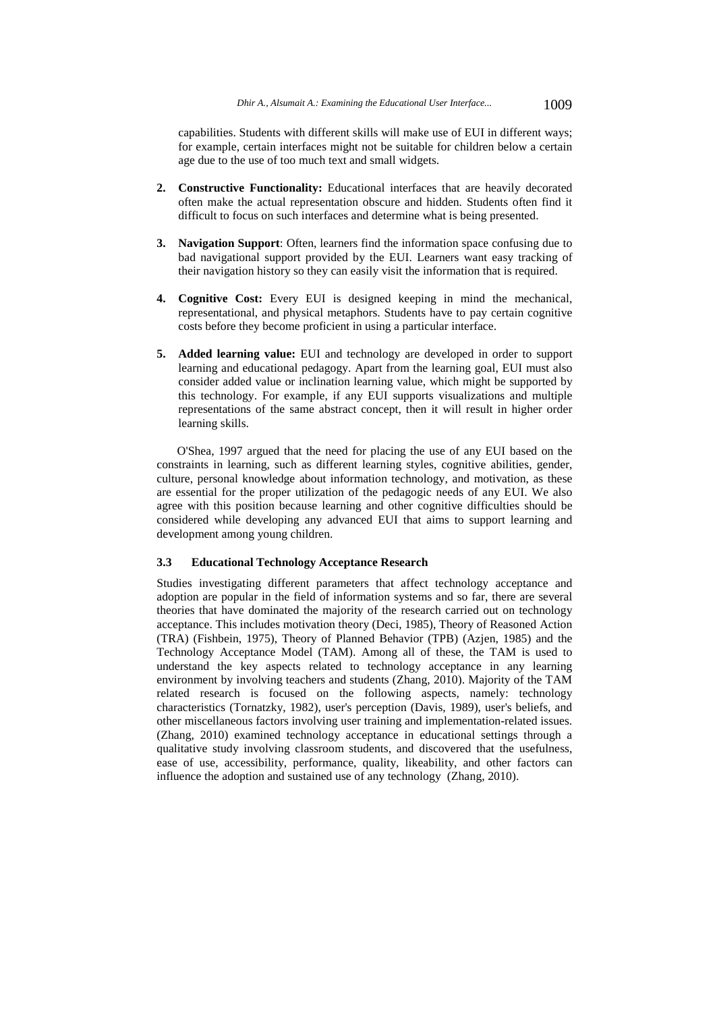capabilities. Students with different skills will make use of EUI in different ways; for example, certain interfaces might not be suitable for children below a certain age due to the use of too much text and small widgets.

- **2. Constructive Functionality:** Educational interfaces that are heavily decorated often make the actual representation obscure and hidden. Students often find it difficult to focus on such interfaces and determine what is being presented.
- **3. Navigation Support**: Often, learners find the information space confusing due to bad navigational support provided by the EUI. Learners want easy tracking of their navigation history so they can easily visit the information that is required.
- **4. Cognitive Cost:** Every EUI is designed keeping in mind the mechanical, representational, and physical metaphors. Students have to pay certain cognitive costs before they become proficient in using a particular interface.
- **5. Added learning value:** EUI and technology are developed in order to support learning and educational pedagogy. Apart from the learning goal, EUI must also consider added value or inclination learning value, which might be supported by this technology. For example, if any EUI supports visualizations and multiple representations of the same abstract concept, then it will result in higher order learning skills.

O'Shea, 1997 argued that the need for placing the use of any EUI based on the constraints in learning, such as different learning styles, cognitive abilities, gender, culture, personal knowledge about information technology, and motivation, as these are essential for the proper utilization of the pedagogic needs of any EUI. We also agree with this position because learning and other cognitive difficulties should be considered while developing any advanced EUI that aims to support learning and development among young children.

#### **3.3 Educational Technology Acceptance Research**

Studies investigating different parameters that affect technology acceptance and adoption are popular in the field of information systems and so far, there are several theories that have dominated the majority of the research carried out on technology acceptance. This includes motivation theory (Deci, 1985), Theory of Reasoned Action (TRA) (Fishbein, 1975), Theory of Planned Behavior (TPB) (Azjen, 1985) and the Technology Acceptance Model (TAM). Among all of these, the TAM is used to understand the key aspects related to technology acceptance in any learning environment by involving teachers and students (Zhang, 2010). Majority of the TAM related research is focused on the following aspects, namely: technology characteristics (Tornatzky, 1982), user's perception (Davis, 1989), user's beliefs, and other miscellaneous factors involving user training and implementation-related issues. (Zhang, 2010) examined technology acceptance in educational settings through a qualitative study involving classroom students, and discovered that the usefulness, ease of use, accessibility, performance, quality, likeability, and other factors can influence the adoption and sustained use of any technology (Zhang, 2010).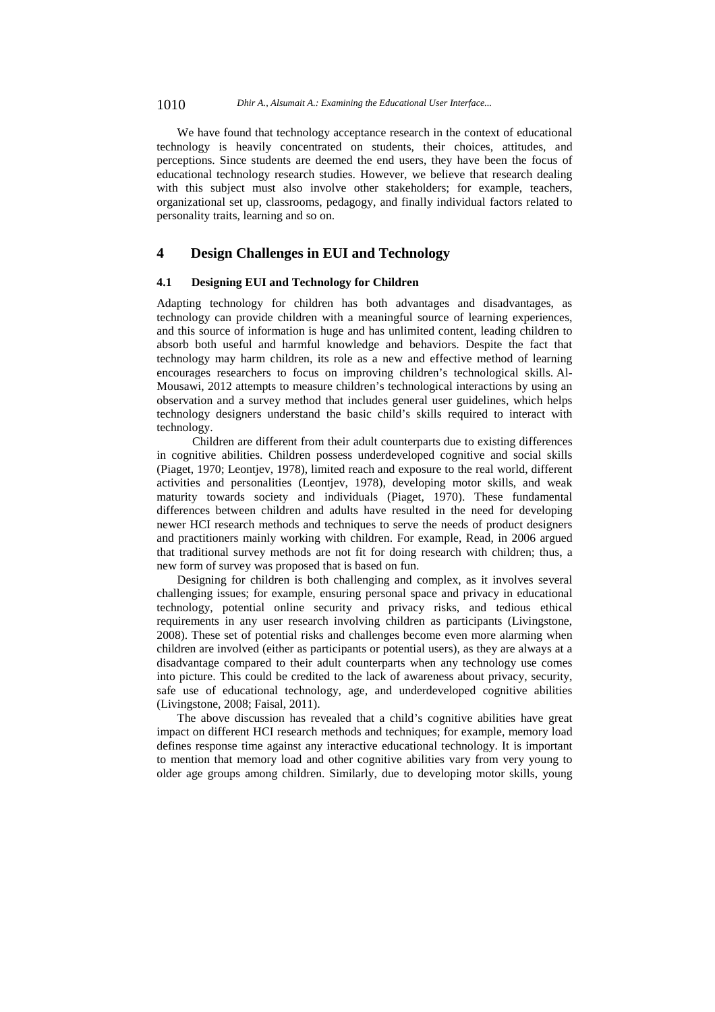We have found that technology acceptance research in the context of educational technology is heavily concentrated on students, their choices, attitudes, and perceptions. Since students are deemed the end users, they have been the focus of educational technology research studies. However, we believe that research dealing with this subject must also involve other stakeholders; for example, teachers, organizational set up, classrooms, pedagogy, and finally individual factors related to personality traits, learning and so on.

# **4 Design Challenges in EUI and Technology**

### **4.1 Designing EUI and Technology for Children**

Adapting technology for children has both advantages and disadvantages, as technology can provide children with a meaningful source of learning experiences, and this source of information is huge and has unlimited content, leading children to absorb both useful and harmful knowledge and behaviors. Despite the fact that technology may harm children, its role as a new and effective method of learning encourages researchers to focus on improving children's technological skills. Al-Mousawi, 2012 attempts to measure children's technological interactions by using an observation and a survey method that includes general user guidelines, which helps technology designers understand the basic child's skills required to interact with technology.

 Children are different from their adult counterparts due to existing differences in cognitive abilities. Children possess underdeveloped cognitive and social skills (Piaget, 1970; Leontjev, 1978), limited reach and exposure to the real world, different activities and personalities (Leontjev, 1978), developing motor skills, and weak maturity towards society and individuals (Piaget, 1970). These fundamental differences between children and adults have resulted in the need for developing newer HCI research methods and techniques to serve the needs of product designers and practitioners mainly working with children. For example, Read, in 2006 argued that traditional survey methods are not fit for doing research with children; thus, a new form of survey was proposed that is based on fun.

Designing for children is both challenging and complex, as it involves several challenging issues; for example, ensuring personal space and privacy in educational technology, potential online security and privacy risks, and tedious ethical requirements in any user research involving children as participants (Livingstone, 2008). These set of potential risks and challenges become even more alarming when children are involved (either as participants or potential users), as they are always at a disadvantage compared to their adult counterparts when any technology use comes into picture. This could be credited to the lack of awareness about privacy, security, safe use of educational technology, age, and underdeveloped cognitive abilities (Livingstone, 2008; Faisal, 2011).

The above discussion has revealed that a child's cognitive abilities have great impact on different HCI research methods and techniques; for example, memory load defines response time against any interactive educational technology. It is important to mention that memory load and other cognitive abilities vary from very young to older age groups among children. Similarly, due to developing motor skills, young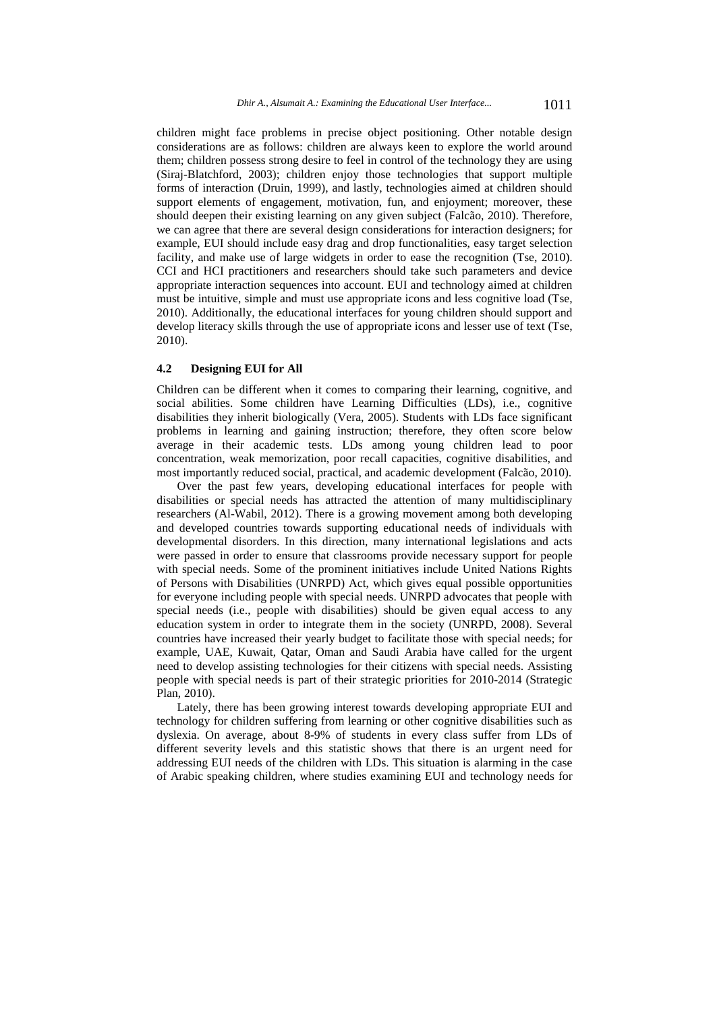children might face problems in precise object positioning. Other notable design considerations are as follows: children are always keen to explore the world around them; children possess strong desire to feel in control of the technology they are using (Siraj-Blatchford, 2003); children enjoy those technologies that support multiple forms of interaction (Druin, 1999), and lastly, technologies aimed at children should support elements of engagement, motivation, fun, and enjoyment; moreover, these should deepen their existing learning on any given subject (Falcão, 2010). Therefore, we can agree that there are several design considerations for interaction designers; for example, EUI should include easy drag and drop functionalities, easy target selection facility, and make use of large widgets in order to ease the recognition (Tse, 2010). CCI and HCI practitioners and researchers should take such parameters and device appropriate interaction sequences into account. EUI and technology aimed at children must be intuitive, simple and must use appropriate icons and less cognitive load (Tse, 2010). Additionally, the educational interfaces for young children should support and develop literacy skills through the use of appropriate icons and lesser use of text (Tse, 2010).

#### **4.2 Designing EUI for All**

Children can be different when it comes to comparing their learning, cognitive, and social abilities. Some children have Learning Difficulties (LDs), i.e., cognitive disabilities they inherit biologically (Vera, 2005). Students with LDs face significant problems in learning and gaining instruction; therefore, they often score below average in their academic tests. LDs among young children lead to poor concentration, weak memorization, poor recall capacities, cognitive disabilities, and most importantly reduced social, practical, and academic development (Falcão, 2010).

Over the past few years, developing educational interfaces for people with disabilities or special needs has attracted the attention of many multidisciplinary researchers (Al-Wabil, 2012). There is a growing movement among both developing and developed countries towards supporting educational needs of individuals with developmental disorders. In this direction, many international legislations and acts were passed in order to ensure that classrooms provide necessary support for people with special needs. Some of the prominent initiatives include United Nations Rights of Persons with Disabilities (UNRPD) Act, which gives equal possible opportunities for everyone including people with special needs. UNRPD advocates that people with special needs (i.e., people with disabilities) should be given equal access to any education system in order to integrate them in the society (UNRPD, 2008). Several countries have increased their yearly budget to facilitate those with special needs; for example, UAE, Kuwait, Qatar, Oman and Saudi Arabia have called for the urgent need to develop assisting technologies for their citizens with special needs. Assisting people with special needs is part of their strategic priorities for 2010-2014 (Strategic Plan, 2010).

Lately, there has been growing interest towards developing appropriate EUI and technology for children suffering from learning or other cognitive disabilities such as dyslexia. On average, about 8-9% of students in every class suffer from LDs of different severity levels and this statistic shows that there is an urgent need for addressing EUI needs of the children with LDs. This situation is alarming in the case of Arabic speaking children, where studies examining EUI and technology needs for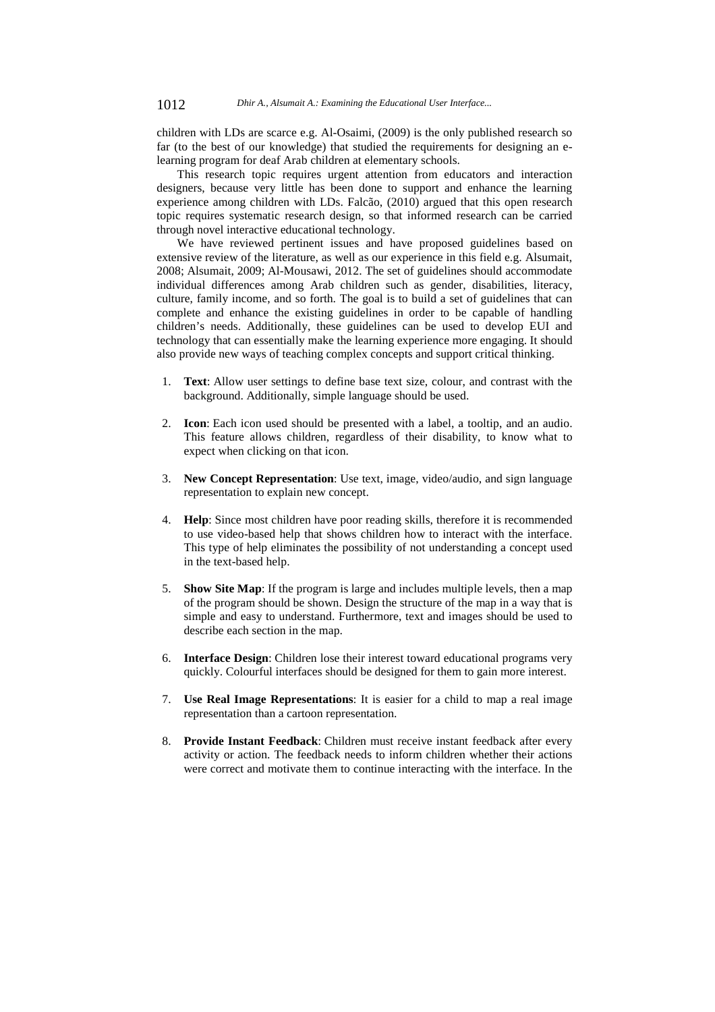children with LDs are scarce e.g. Al-Osaimi, (2009) is the only published research so far (to the best of our knowledge) that studied the requirements for designing an elearning program for deaf Arab children at elementary schools.

This research topic requires urgent attention from educators and interaction designers, because very little has been done to support and enhance the learning experience among children with LDs. Falcão, (2010) argued that this open research topic requires systematic research design, so that informed research can be carried through novel interactive educational technology.

We have reviewed pertinent issues and have proposed guidelines based on extensive review of the literature, as well as our experience in this field e.g. Alsumait, 2008; Alsumait, 2009; Al-Mousawi, 2012. The set of guidelines should accommodate individual differences among Arab children such as gender, disabilities, literacy, culture, family income, and so forth. The goal is to build a set of guidelines that can complete and enhance the existing guidelines in order to be capable of handling children's needs. Additionally, these guidelines can be used to develop EUI and technology that can essentially make the learning experience more engaging. It should also provide new ways of teaching complex concepts and support critical thinking.

- 1. **Text**: Allow user settings to define base text size, colour, and contrast with the background. Additionally, simple language should be used.
- 2. **Icon**: Each icon used should be presented with a label, a tooltip, and an audio. This feature allows children, regardless of their disability, to know what to expect when clicking on that icon.
- 3. **New Concept Representation**: Use text, image, video/audio, and sign language representation to explain new concept.
- 4. **Help**: Since most children have poor reading skills, therefore it is recommended to use video-based help that shows children how to interact with the interface. This type of help eliminates the possibility of not understanding a concept used in the text-based help.
- 5. **Show Site Map**: If the program is large and includes multiple levels, then a map of the program should be shown. Design the structure of the map in a way that is simple and easy to understand. Furthermore, text and images should be used to describe each section in the map.
- 6. **Interface Design**: Children lose their interest toward educational programs very quickly. Colourful interfaces should be designed for them to gain more interest.
- 7. **Use Real Image Representations**: It is easier for a child to map a real image representation than a cartoon representation.
- 8. **Provide Instant Feedback**: Children must receive instant feedback after every activity or action. The feedback needs to inform children whether their actions were correct and motivate them to continue interacting with the interface. In the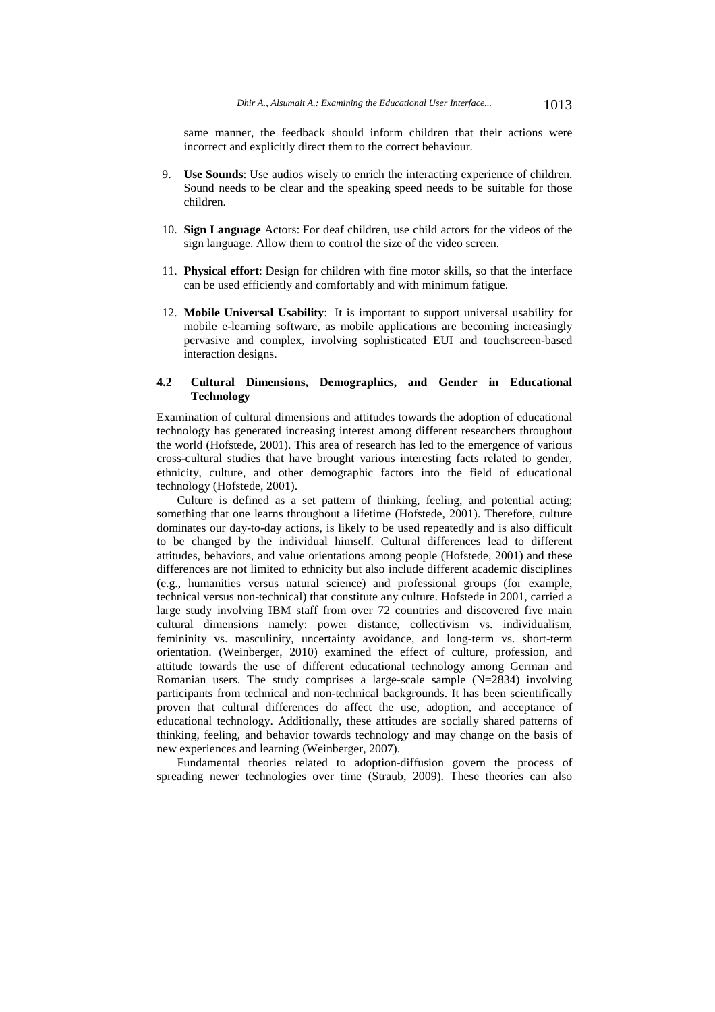same manner, the feedback should inform children that their actions were incorrect and explicitly direct them to the correct behaviour.

- 9. **Use Sounds**: Use audios wisely to enrich the interacting experience of children. Sound needs to be clear and the speaking speed needs to be suitable for those children.
- 10. **Sign Language** Actors: For deaf children, use child actors for the videos of the sign language. Allow them to control the size of the video screen.
- 11. **Physical effort**: Design for children with fine motor skills, so that the interface can be used efficiently and comfortably and with minimum fatigue.
- 12. **Mobile Universal Usability**: It is important to support universal usability for mobile e-learning software, as mobile applications are becoming increasingly pervasive and complex, involving sophisticated EUI and touchscreen-based interaction designs.

### **4.2 Cultural Dimensions, Demographics, and Gender in Educational Technology**

Examination of cultural dimensions and attitudes towards the adoption of educational technology has generated increasing interest among different researchers throughout the world (Hofstede, 2001). This area of research has led to the emergence of various cross-cultural studies that have brought various interesting facts related to gender, ethnicity, culture, and other demographic factors into the field of educational technology (Hofstede, 2001).

Culture is defined as a set pattern of thinking, feeling, and potential acting; something that one learns throughout a lifetime (Hofstede, 2001). Therefore, culture dominates our day-to-day actions, is likely to be used repeatedly and is also difficult to be changed by the individual himself. Cultural differences lead to different attitudes, behaviors, and value orientations among people (Hofstede, 2001) and these differences are not limited to ethnicity but also include different academic disciplines (e.g., humanities versus natural science) and professional groups (for example, technical versus non-technical) that constitute any culture. Hofstede in 2001, carried a large study involving IBM staff from over 72 countries and discovered five main cultural dimensions namely: power distance, collectivism vs. individualism, femininity vs. masculinity, uncertainty avoidance, and long-term vs. short-term orientation. (Weinberger, 2010) examined the effect of culture, profession, and attitude towards the use of different educational technology among German and Romanian users. The study comprises a large-scale sample  $(N=2834)$  involving participants from technical and non-technical backgrounds. It has been scientifically proven that cultural differences do affect the use, adoption, and acceptance of educational technology. Additionally, these attitudes are socially shared patterns of thinking, feeling, and behavior towards technology and may change on the basis of new experiences and learning (Weinberger, 2007).

Fundamental theories related to adoption-diffusion govern the process of spreading newer technologies over time (Straub, 2009). These theories can also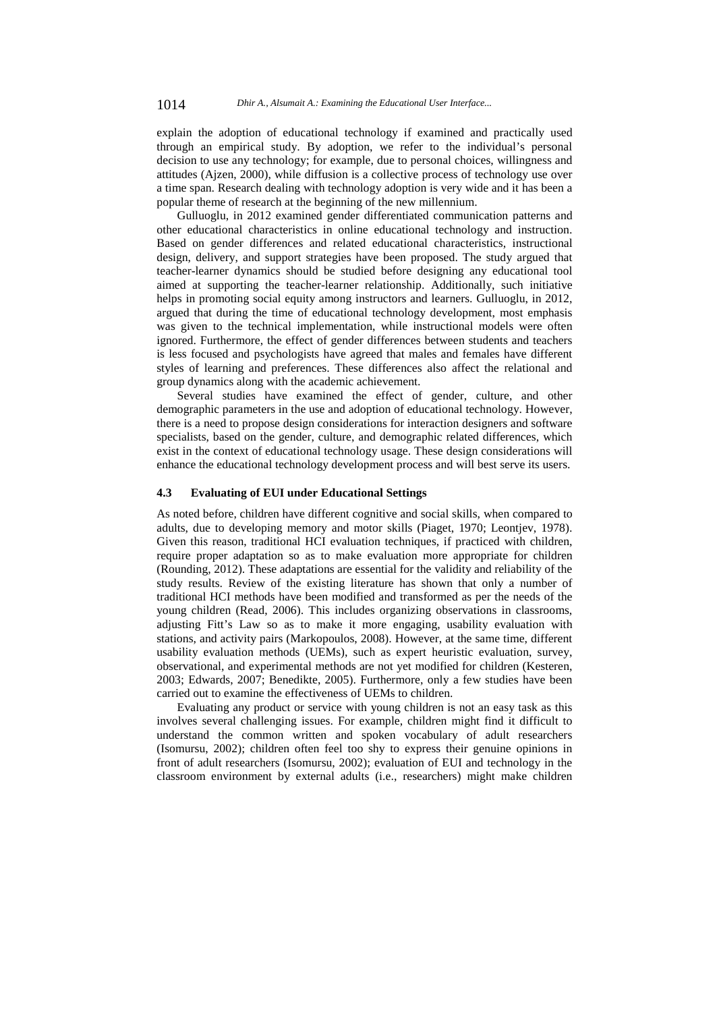explain the adoption of educational technology if examined and practically used through an empirical study. By adoption, we refer to the individual's personal decision to use any technology; for example, due to personal choices, willingness and attitudes (Ajzen, 2000), while diffusion is a collective process of technology use over a time span. Research dealing with technology adoption is very wide and it has been a popular theme of research at the beginning of the new millennium.

Gulluoglu, in 2012 examined gender differentiated communication patterns and other educational characteristics in online educational technology and instruction. Based on gender differences and related educational characteristics, instructional design, delivery, and support strategies have been proposed. The study argued that teacher-learner dynamics should be studied before designing any educational tool aimed at supporting the teacher-learner relationship. Additionally, such initiative helps in promoting social equity among instructors and learners. Gulluoglu, in 2012, argued that during the time of educational technology development, most emphasis was given to the technical implementation, while instructional models were often ignored. Furthermore, the effect of gender differences between students and teachers is less focused and psychologists have agreed that males and females have different styles of learning and preferences. These differences also affect the relational and group dynamics along with the academic achievement.

Several studies have examined the effect of gender, culture, and other demographic parameters in the use and adoption of educational technology. However, there is a need to propose design considerations for interaction designers and software specialists, based on the gender, culture, and demographic related differences, which exist in the context of educational technology usage. These design considerations will enhance the educational technology development process and will best serve its users.

### **4.3 Evaluating of EUI under Educational Settings**

As noted before, children have different cognitive and social skills, when compared to adults, due to developing memory and motor skills (Piaget, 1970; Leontjev, 1978). Given this reason, traditional HCI evaluation techniques, if practiced with children, require proper adaptation so as to make evaluation more appropriate for children (Rounding, 2012). These adaptations are essential for the validity and reliability of the study results. Review of the existing literature has shown that only a number of traditional HCI methods have been modified and transformed as per the needs of the young children (Read, 2006). This includes organizing observations in classrooms, adjusting Fitt's Law so as to make it more engaging, usability evaluation with stations, and activity pairs (Markopoulos, 2008). However, at the same time, different usability evaluation methods (UEMs), such as expert heuristic evaluation, survey, observational, and experimental methods are not yet modified for children (Kesteren, 2003; Edwards, 2007; Benedikte, 2005). Furthermore, only a few studies have been carried out to examine the effectiveness of UEMs to children.

Evaluating any product or service with young children is not an easy task as this involves several challenging issues. For example, children might find it difficult to understand the common written and spoken vocabulary of adult researchers (Isomursu, 2002); children often feel too shy to express their genuine opinions in front of adult researchers (Isomursu, 2002); evaluation of EUI and technology in the classroom environment by external adults (i.e., researchers) might make children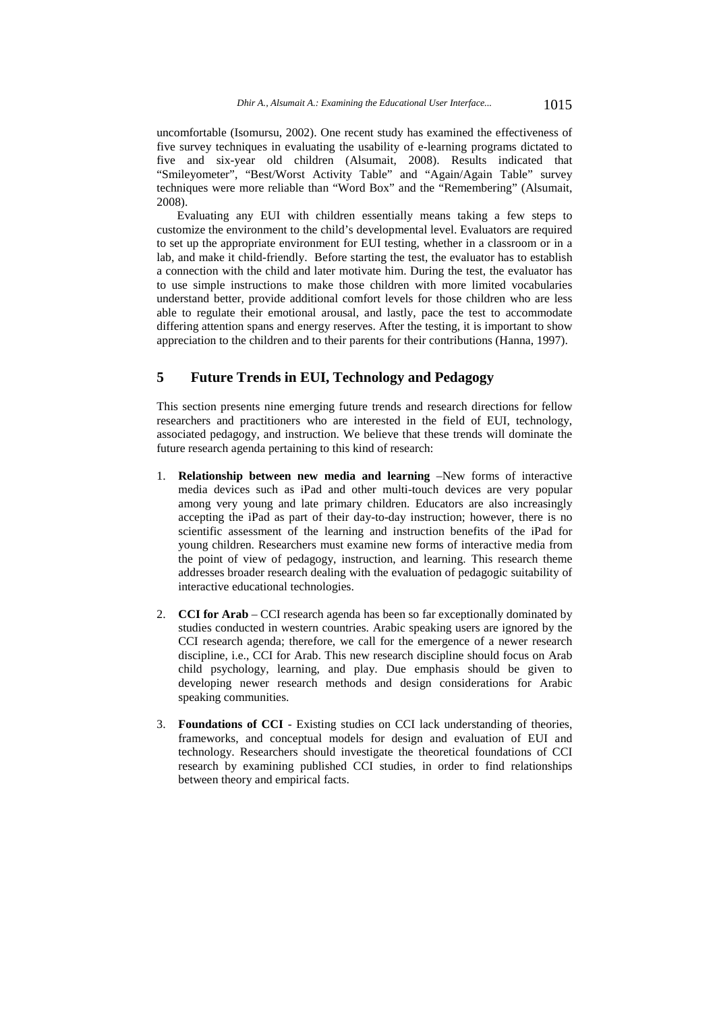uncomfortable (Isomursu, 2002). One recent study has examined the effectiveness of five survey techniques in evaluating the usability of e-learning programs dictated to five and six-year old children (Alsumait, 2008). Results indicated that "Smileyometer", "Best/Worst Activity Table" and "Again/Again Table" survey techniques were more reliable than "Word Box" and the "Remembering" (Alsumait, 2008).

Evaluating any EUI with children essentially means taking a few steps to customize the environment to the child's developmental level. Evaluators are required to set up the appropriate environment for EUI testing, whether in a classroom or in a lab, and make it child-friendly. Before starting the test, the evaluator has to establish a connection with the child and later motivate him. During the test, the evaluator has to use simple instructions to make those children with more limited vocabularies understand better, provide additional comfort levels for those children who are less able to regulate their emotional arousal, and lastly, pace the test to accommodate differing attention spans and energy reserves. After the testing, it is important to show appreciation to the children and to their parents for their contributions (Hanna, 1997).

# **5 Future Trends in EUI, Technology and Pedagogy**

This section presents nine emerging future trends and research directions for fellow researchers and practitioners who are interested in the field of EUI, technology, associated pedagogy, and instruction. We believe that these trends will dominate the future research agenda pertaining to this kind of research:

- 1. **Relationship between new media and learning** –New forms of interactive media devices such as iPad and other multi-touch devices are very popular among very young and late primary children. Educators are also increasingly accepting the iPad as part of their day-to-day instruction; however, there is no scientific assessment of the learning and instruction benefits of the iPad for young children. Researchers must examine new forms of interactive media from the point of view of pedagogy, instruction, and learning. This research theme addresses broader research dealing with the evaluation of pedagogic suitability of interactive educational technologies.
- 2. **CCI for Arab** CCI research agenda has been so far exceptionally dominated by studies conducted in western countries. Arabic speaking users are ignored by the CCI research agenda; therefore, we call for the emergence of a newer research discipline, i.e., CCI for Arab. This new research discipline should focus on Arab child psychology, learning, and play. Due emphasis should be given to developing newer research methods and design considerations for Arabic speaking communities.
- 3. **Foundations of CCI** Existing studies on CCI lack understanding of theories, frameworks, and conceptual models for design and evaluation of EUI and technology. Researchers should investigate the theoretical foundations of CCI research by examining published CCI studies, in order to find relationships between theory and empirical facts.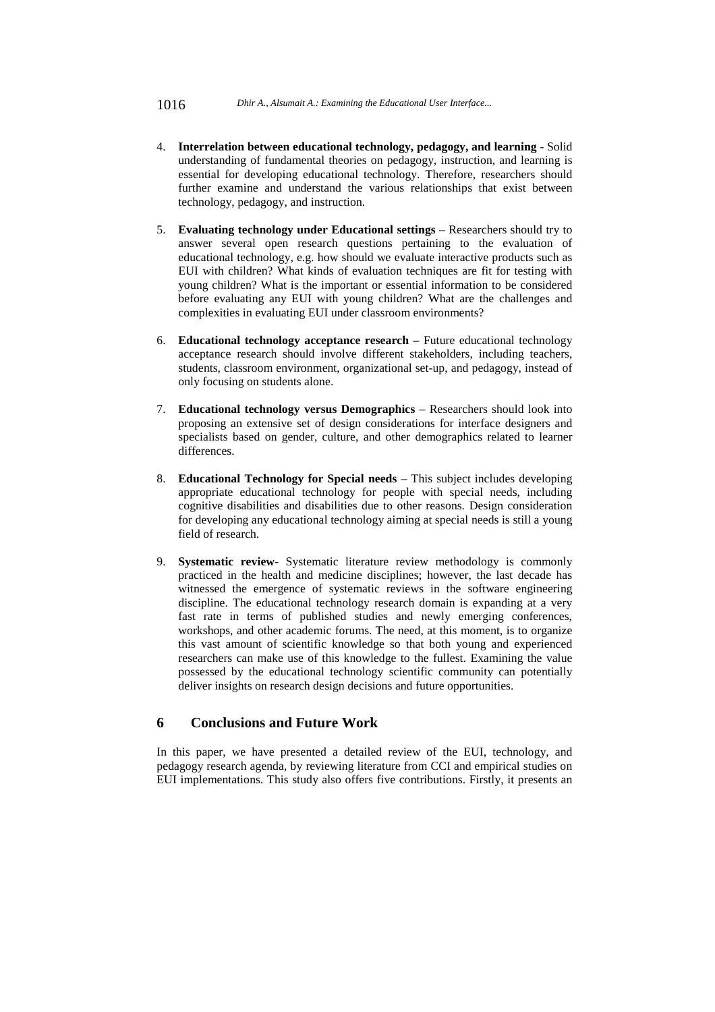- 4. **Interrelation between educational technology, pedagogy, and learning** Solid understanding of fundamental theories on pedagogy, instruction, and learning is essential for developing educational technology. Therefore, researchers should further examine and understand the various relationships that exist between technology, pedagogy, and instruction.
- 5. **Evaluating technology under Educational settings** Researchers should try to answer several open research questions pertaining to the evaluation of educational technology, e.g. how should we evaluate interactive products such as EUI with children? What kinds of evaluation techniques are fit for testing with young children? What is the important or essential information to be considered before evaluating any EUI with young children? What are the challenges and complexities in evaluating EUI under classroom environments?
- 6. **Educational technology acceptance research –** Future educational technology acceptance research should involve different stakeholders, including teachers, students, classroom environment, organizational set-up, and pedagogy, instead of only focusing on students alone.
- 7. **Educational technology versus Demographics** Researchers should look into proposing an extensive set of design considerations for interface designers and specialists based on gender, culture, and other demographics related to learner differences.
- 8. **Educational Technology for Special needs** This subject includes developing appropriate educational technology for people with special needs, including cognitive disabilities and disabilities due to other reasons. Design consideration for developing any educational technology aiming at special needs is still a young field of research.
- 9. **Systematic review** Systematic literature review methodology is commonly practiced in the health and medicine disciplines; however, the last decade has witnessed the emergence of systematic reviews in the software engineering discipline. The educational technology research domain is expanding at a very fast rate in terms of published studies and newly emerging conferences, workshops, and other academic forums. The need, at this moment, is to organize this vast amount of scientific knowledge so that both young and experienced researchers can make use of this knowledge to the fullest. Examining the value possessed by the educational technology scientific community can potentially deliver insights on research design decisions and future opportunities.

# **6 Conclusions and Future Work**

In this paper, we have presented a detailed review of the EUI, technology, and pedagogy research agenda, by reviewing literature from CCI and empirical studies on EUI implementations. This study also offers five contributions. Firstly, it presents an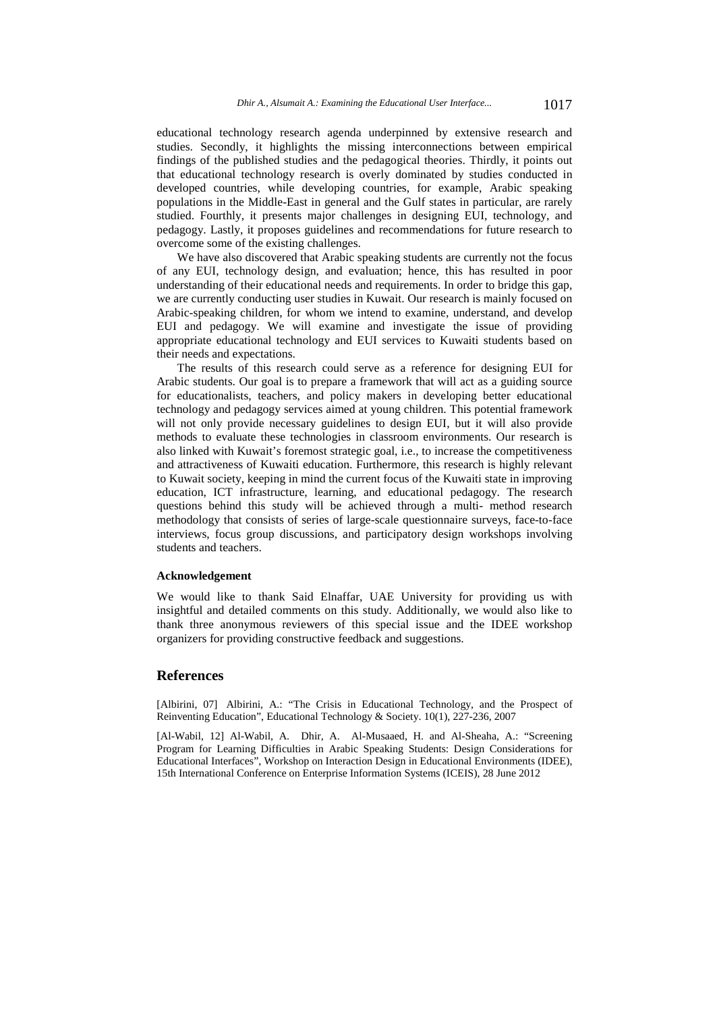educational technology research agenda underpinned by extensive research and studies. Secondly, it highlights the missing interconnections between empirical findings of the published studies and the pedagogical theories. Thirdly, it points out that educational technology research is overly dominated by studies conducted in developed countries, while developing countries, for example, Arabic speaking populations in the Middle-East in general and the Gulf states in particular, are rarely studied. Fourthly, it presents major challenges in designing EUI, technology, and pedagogy. Lastly, it proposes guidelines and recommendations for future research to overcome some of the existing challenges.

We have also discovered that Arabic speaking students are currently not the focus of any EUI, technology design, and evaluation; hence, this has resulted in poor understanding of their educational needs and requirements. In order to bridge this gap, we are currently conducting user studies in Kuwait. Our research is mainly focused on Arabic-speaking children, for whom we intend to examine, understand, and develop EUI and pedagogy. We will examine and investigate the issue of providing appropriate educational technology and EUI services to Kuwaiti students based on their needs and expectations.

The results of this research could serve as a reference for designing EUI for Arabic students. Our goal is to prepare a framework that will act as a guiding source for educationalists, teachers, and policy makers in developing better educational technology and pedagogy services aimed at young children. This potential framework will not only provide necessary guidelines to design EUI, but it will also provide methods to evaluate these technologies in classroom environments. Our research is also linked with Kuwait's foremost strategic goal, i.e., to increase the competitiveness and attractiveness of Kuwaiti education. Furthermore, this research is highly relevant to Kuwait society, keeping in mind the current focus of the Kuwaiti state in improving education, ICT infrastructure, learning, and educational pedagogy. The research questions behind this study will be achieved through a multi- method research methodology that consists of series of large-scale questionnaire surveys, face-to-face interviews, focus group discussions, and participatory design workshops involving students and teachers.

#### **Acknowledgement**

We would like to thank Said Elnaffar, UAE University for providing us with insightful and detailed comments on this study. Additionally, we would also like to thank three anonymous reviewers of this special issue and the IDEE workshop organizers for providing constructive feedback and suggestions.

### **References**

[Albirini, 07] Albirini, A.: "The Crisis in Educational Technology, and the Prospect of Reinventing Education", Educational Technology & Society. 10(1), 227-236, 2007

[Al-Wabil, 12] Al-Wabil, A. Dhir, A. Al-Musaaed, H. and Al-Sheaha, A.: "Screening Program for Learning Difficulties in Arabic Speaking Students: Design Considerations for Educational Interfaces", Workshop on Interaction Design in Educational Environments (IDEE), 15th International Conference on Enterprise Information Systems (ICEIS), 28 June 2012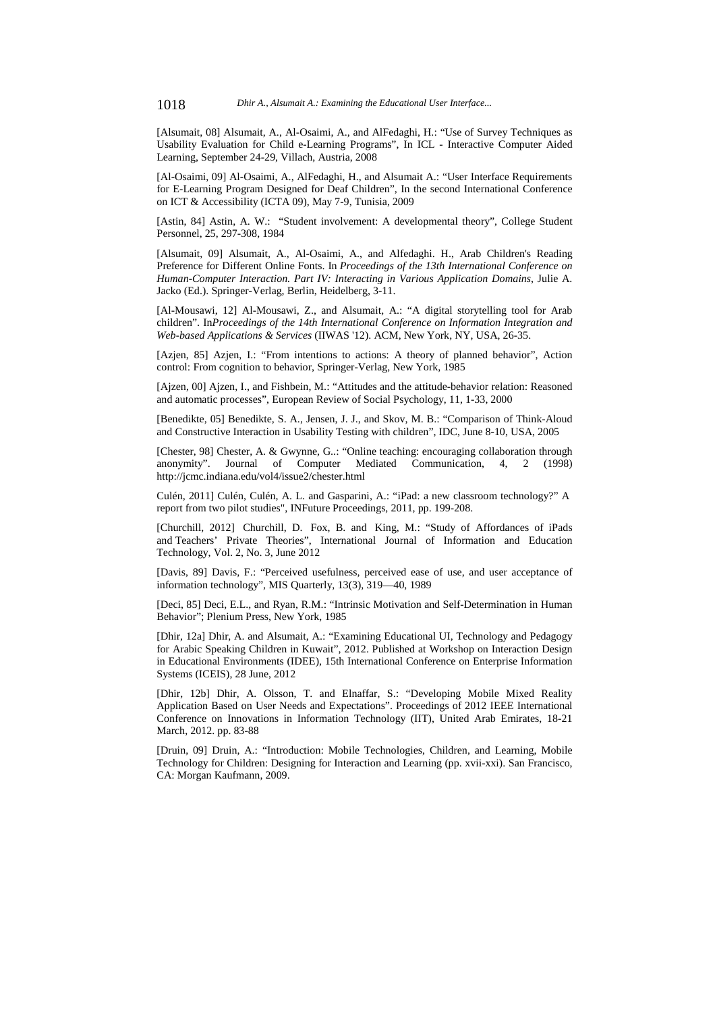[Alsumait, 08] Alsumait, A., Al-Osaimi, A., and AlFedaghi, H.: "Use of Survey Techniques as Usability Evaluation for Child e-Learning Programs", In ICL - Interactive Computer Aided Learning, September 24-29, Villach, Austria, 2008

[Al-Osaimi, 09] Al-Osaimi, A., AlFedaghi, H., and Alsumait A.: "User Interface Requirements for E-Learning Program Designed for Deaf Children", In the second International Conference on ICT & Accessibility (ICTA 09), May 7-9, Tunisia, 2009

[Astin, 84] Astin, A. W.: "Student involvement: A developmental theory", College Student Personnel, 25, 297-308, 1984

[Alsumait, 09] Alsumait, A., Al-Osaimi, A., and Alfedaghi. H., Arab Children's Reading Preference for Different Online Fonts. In *Proceedings of the 13th International Conference on Human-Computer Interaction. Part IV: Interacting in Various Application Domains*, Julie A. Jacko (Ed.). Springer-Verlag, Berlin, Heidelberg, 3-11.

[Al-Mousawi, 12] Al-Mousawi, Z., and Alsumait, A.: "A digital storytelling tool for Arab children". In*Proceedings of the 14th International Conference on Information Integration and Web-based Applications & Services* (IIWAS '12). ACM, New York, NY, USA, 26-35.

[Azjen, 85] Azjen, I.: "From intentions to actions: A theory of planned behavior", Action control: From cognition to behavior, Springer-Verlag, New York, 1985

[Ajzen, 00] Ajzen, I., and Fishbein, M.: "Attitudes and the attitude-behavior relation: Reasoned and automatic processes", European Review of Social Psychology, 11, 1-33, 2000

[Benedikte, 05] Benedikte, S. A., Jensen, J. J., and Skov, M. B.: "Comparison of Think-Aloud and Constructive Interaction in Usability Testing with children", IDC, June 8-10, USA, 2005

[Chester, 98] Chester, A. & Gwynne, G..: "Online teaching: encouraging collaboration through anonymity". Journal of Computer Mediated Communication, 4, 2 (1998) http://jcmc.indiana.edu/vol4/issue2/chester.html

Culén, 2011] Culén, Culén, A. L. and Gasparini, A.: "iPad: a new classroom technology?" A report from two pilot studies", INFuture Proceedings, 2011, pp. 199-208.

[Churchill, 2012] Churchill, D. Fox, B. and King, M.: "Study of Affordances of iPads and Teachers' Private Theories", International Journal of Information and Education Technology, Vol. 2, No. 3, June 2012

[Davis, 89] Davis, F.: "Perceived usefulness, perceived ease of use, and user acceptance of information technology", MIS Quarterly, 13(3), 319—40, 1989

[Deci, 85] Deci, E.L., and Ryan, R.M.: "Intrinsic Motivation and Self-Determination in Human Behavior"; Plenium Press, New York, 1985

[Dhir, 12a] Dhir, A. and Alsumait, A.: "Examining Educational UI, Technology and Pedagogy for Arabic Speaking Children in Kuwait", 2012. Published at Workshop on Interaction Design in Educational Environments (IDEE), 15th International Conference on Enterprise Information Systems (ICEIS), 28 June, 2012

[Dhir, 12b] Dhir, A. Olsson, T. and Elnaffar, S.: "Developing Mobile Mixed Reality Application Based on User Needs and Expectations". Proceedings of 2012 IEEE International Conference on Innovations in Information Technology (IIT), United Arab Emirates, 18-21 March, 2012. pp. 83-88

[Druin, 09] Druin, A.: "Introduction: Mobile Technologies, Children, and Learning, Mobile Technology for Children: Designing for Interaction and Learning (pp. xvii-xxi). San Francisco, CA: Morgan Kaufmann, 2009.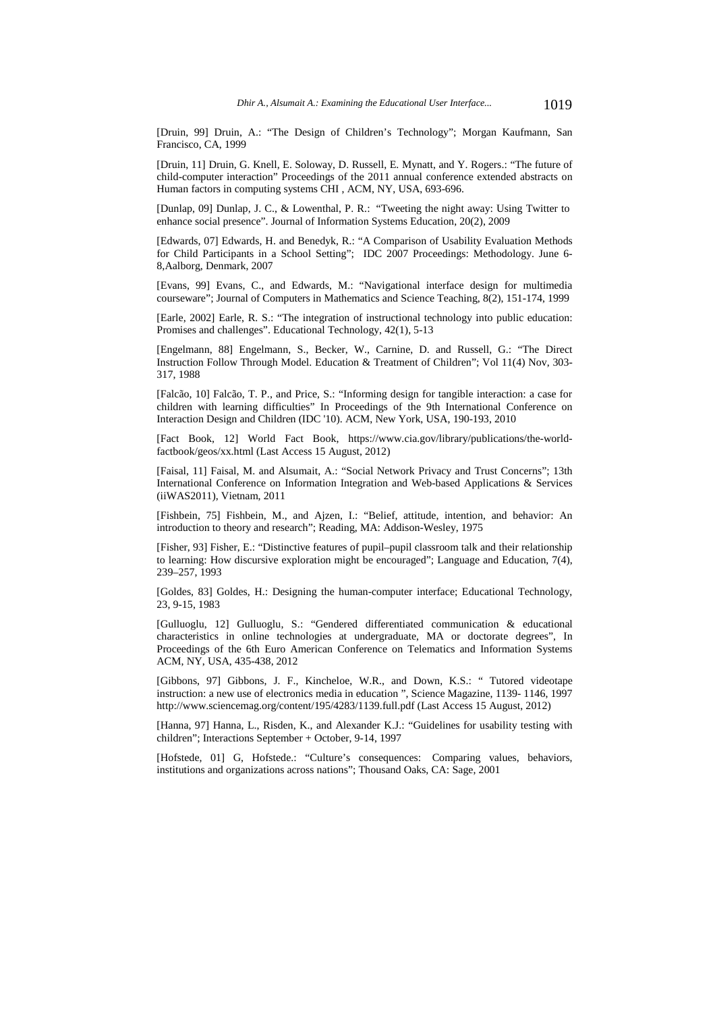[Druin, 99] Druin, A.: "The Design of Children's Technology"; Morgan Kaufmann, San Francisco, CA, 1999

[Druin, 11] Druin, G. Knell, E. Soloway, D. Russell, E. Mynatt, and Y. Rogers.: "The future of child-computer interaction" Proceedings of the 2011 annual conference extended abstracts on Human factors in computing systems CHI , ACM, NY, USA, 693-696.

[Dunlap, 09] Dunlap, J. C., & Lowenthal, P. R.: "Tweeting the night away: Using Twitter to enhance social presence". Journal of Information Systems Education, 20(2), 2009

[Edwards, 07] Edwards, H. and Benedyk, R.: "A Comparison of Usability Evaluation Methods for Child Participants in a School Setting"; IDC 2007 Proceedings: Methodology. June 6- 8,Aalborg, Denmark, 2007

[Evans, 99] Evans, C., and Edwards, M.: "Navigational interface design for multimedia courseware"; Journal of Computers in Mathematics and Science Teaching, 8(2), 151-174, 1999

[Earle, 2002] Earle, R. S.: "The integration of instructional technology into public education: Promises and challenges". Educational Technology, 42(1), 5-13

[Engelmann, 88] Engelmann, S., Becker, W., Carnine, D. and Russell, G.: "The Direct Instruction Follow Through Model. Education & Treatment of Children"; Vol 11(4) Nov, 303- 317, 1988

[Falcão, 10] Falcão, T. P., and Price, S.: "Informing design for tangible interaction: a case for children with learning difficulties" In Proceedings of the 9th International Conference on Interaction Design and Children (IDC '10). ACM, New York, USA, 190-193, 2010

[Fact Book, 12] World Fact Book, https://www.cia.gov/library/publications/the-worldfactbook/geos/xx.html (Last Access 15 August, 2012)

[Faisal, 11] Faisal, M. and Alsumait, A.: "Social Network Privacy and Trust Concerns"; 13th International Conference on Information Integration and Web-based Applications & Services (iiWAS2011), Vietnam, 2011

[Fishbein, 75] Fishbein, M., and Ajzen, I.: "Belief, attitude, intention, and behavior: An introduction to theory and research"; Reading, MA: Addison-Wesley, 1975

[Fisher, 93] Fisher, E.: "Distinctive features of pupil–pupil classroom talk and their relationship to learning: How discursive exploration might be encouraged"; Language and Education, 7(4), 239–257, 1993

[Goldes, 83] Goldes, H.: Designing the human-computer interface; Educational Technology, 23, 9-15, 1983

[Gulluoglu, 12] Gulluoglu, S.: "Gendered differentiated communication & educational characteristics in online technologies at undergraduate, MA or doctorate degrees", In Proceedings of the 6th Euro American Conference on Telematics and Information Systems ACM, NY, USA, 435-438, 2012

[Gibbons, 97] Gibbons, J. F., Kincheloe, W.R., and Down, K.S.: " Tutored videotape instruction: a new use of electronics media in education ", Science Magazine, 1139- 1146, 1997 http://www.sciencemag.org/content/195/4283/1139.full.pdf (Last Access 15 August, 2012)

[Hanna, 97] Hanna, L., Risden, K., and Alexander K.J.: "Guidelines for usability testing with children"; Interactions September + October, 9-14, 1997

[Hofstede, 01] G, Hofstede.: "Culture's consequences: Comparing values, behaviors, institutions and organizations across nations"; Thousand Oaks, CA: Sage, 2001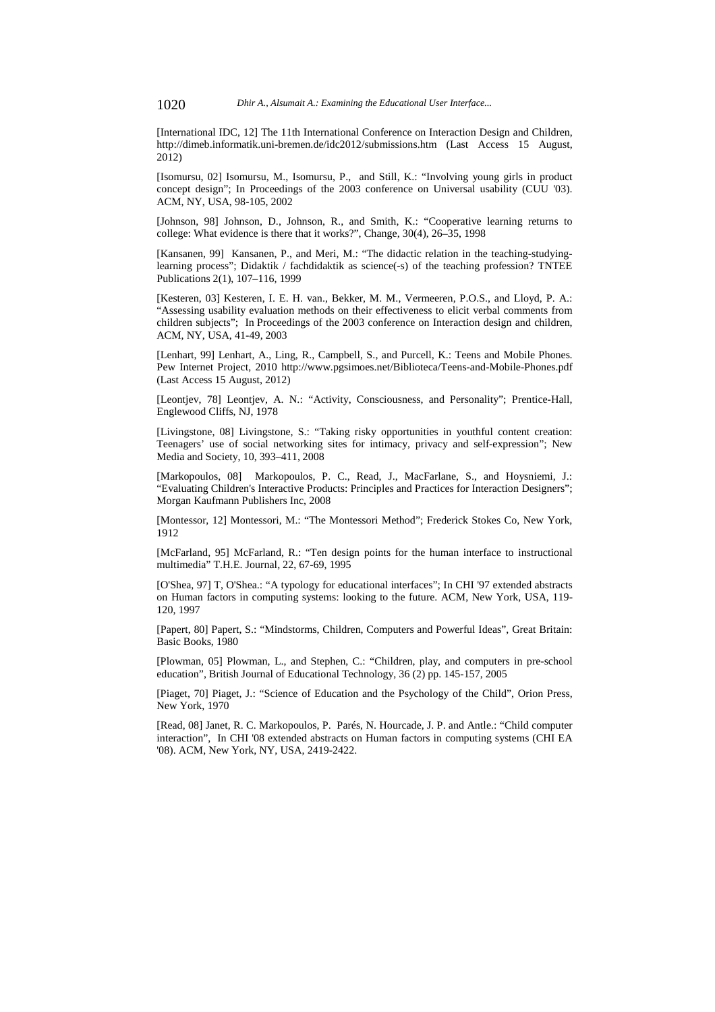[International IDC, 12] The 11th International Conference on Interaction Design and Children, http://dimeb.informatik.uni-bremen.de/idc2012/submissions.htm (Last Access 15 August, 2012)

[Isomursu, 02] Isomursu, M., Isomursu, P., and Still, K.: "Involving young girls in product concept design"; In Proceedings of the 2003 conference on Universal usability (CUU '03). ACM, NY, USA, 98-105, 2002

[Johnson, 98] Johnson, D., Johnson, R., and Smith, K.: "Cooperative learning returns to college: What evidence is there that it works?", Change, 30(4), 26–35, 1998

[Kansanen, 99] Kansanen, P., and Meri, M.: "The didactic relation in the teaching-studyinglearning process"; Didaktik / fachdidaktik as science(-s) of the teaching profession? TNTEE Publications 2(1), 107–116, 1999

[Kesteren, 03] Kesteren, I. E. H. van., Bekker, M. M., Vermeeren, P.O.S., and Lloyd, P. A.: "Assessing usability evaluation methods on their effectiveness to elicit verbal comments from children subjects"; In Proceedings of the 2003 conference on Interaction design and children, ACM, NY, USA, 41-49, 2003

[Lenhart, 99] Lenhart, A., Ling, R., Campbell, S., and Purcell, K.: Teens and Mobile Phones. Pew Internet Project, 2010 http://www.pgsimoes.net/Biblioteca/Teens-and-Mobile-Phones.pdf (Last Access 15 August, 2012)

[Leontjev, 78] Leontjev, A. N.: "Activity, Consciousness, and Personality"; Prentice-Hall, Englewood Cliffs, NJ, 1978

[Livingstone, 08] Livingstone, S.: "Taking risky opportunities in youthful content creation: Teenagers' use of social networking sites for intimacy, privacy and self-expression"; New Media and Society, 10, 393–411, 2008

[Markopoulos, 08] Markopoulos, P. C., Read, J., MacFarlane, S., and Hoysniemi, J.: "Evaluating Children's Interactive Products: Principles and Practices for Interaction Designers"; Morgan Kaufmann Publishers Inc, 2008

[Montessor, 12] Montessori, M.: "The Montessori Method"; Frederick Stokes Co, New York, 1912

[McFarland, 95] McFarland, R.: "Ten design points for the human interface to instructional multimedia" T.H.E. Journal, 22, 67-69, 1995

[O'Shea, 97] T, O'Shea.: "A typology for educational interfaces"; In CHI '97 extended abstracts on Human factors in computing systems: looking to the future. ACM, New York, USA, 119- 120, 1997

[Papert, 80] Papert, S.: "Mindstorms, Children, Computers and Powerful Ideas", Great Britain: Basic Books, 1980

[Plowman, 05] Plowman, L., and Stephen, C.: "Children, play, and computers in pre-school education", British Journal of Educational Technology, 36 (2) pp. 145-157, 2005

[Piaget, 70] Piaget, J.: "Science of Education and the Psychology of the Child", Orion Press, New York, 1970

[Read, 08] Janet, R. C. Markopoulos, P. Parés, N. Hourcade, J. P. and Antle.: "Child computer interaction", In CHI '08 extended abstracts on Human factors in computing systems (CHI EA '08). ACM, New York, NY, USA, 2419-2422.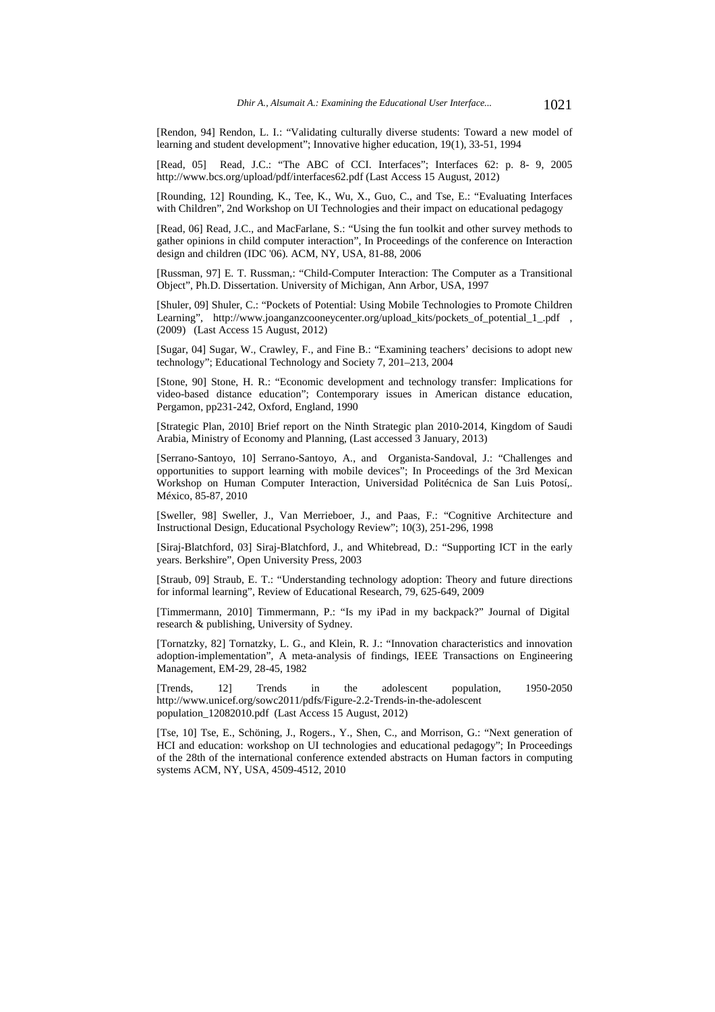[Rendon, 94] Rendon, L. I.: "Validating culturally diverse students: Toward a new model of learning and student development"; Innovative higher education, 19(1), 33-51, 1994

[Read, 05] Read, J.C.: "The ABC of CCI. Interfaces"; Interfaces 62: p. 8- 9, 2005 http://www.bcs.org/upload/pdf/interfaces62.pdf (Last Access 15 August, 2012)

[Rounding, 12] Rounding, K., Tee, K., Wu, X., Guo, C., and Tse, E.: "Evaluating Interfaces with Children", 2nd Workshop on UI Technologies and their impact on educational pedagogy

[Read, 06] Read, J.C., and MacFarlane, S.: "Using the fun toolkit and other survey methods to gather opinions in child computer interaction", In Proceedings of the conference on Interaction design and children (IDC '06). ACM, NY, USA, 81-88, 2006

[Russman, 97] E. T. Russman,: "Child-Computer Interaction: The Computer as a Transitional Object", Ph.D. Dissertation. University of Michigan, Ann Arbor, USA, 1997

[Shuler, 09] Shuler, C.: "Pockets of Potential: Using Mobile Technologies to Promote Children Learning", http://www.joanganzcooneycenter.org/upload\_kits/pockets\_of\_potential\_1\_.pdf , (2009) (Last Access 15 August, 2012)

[Sugar, 04] Sugar, W., Crawley, F., and Fine B.: "Examining teachers' decisions to adopt new technology"; Educational Technology and Society 7, 201–213, 2004

[Stone, 90] Stone, H. R.: "Economic development and technology transfer: Implications for video-based distance education"; Contemporary issues in American distance education, Pergamon, pp231-242, Oxford, England, 1990

[Strategic Plan, 2010] Brief report on the Ninth Strategic plan 2010-2014, Kingdom of Saudi Arabia, Ministry of Economy and Planning, (Last accessed 3 January, 2013)

[Serrano-Santoyo, 10] Serrano-Santoyo, A., and Organista-Sandoval, J.: "Challenges and opportunities to support learning with mobile devices"; In Proceedings of the 3rd Mexican Workshop on Human Computer Interaction, Universidad Politécnica de San Luis Potosí,. México, 85-87, 2010

[Sweller, 98] Sweller, J., Van Merrieboer, J., and Paas, F.: "Cognitive Architecture and Instructional Design, Educational Psychology Review"; 10(3), 251-296, 1998

[Siraj-Blatchford, 03] Siraj-Blatchford, J., and Whitebread, D.: "Supporting ICT in the early years. Berkshire", Open University Press, 2003

[Straub, 09] Straub, E. T.: "Understanding technology adoption: Theory and future directions for informal learning", Review of Educational Research, 79, 625-649, 2009

[Timmermann, 2010] Timmermann, P.: "Is my iPad in my backpack?" Journal of Digital research & publishing, University of Sydney.

[Tornatzky, 82] Tornatzky, L. G., and Klein, R. J.: "Innovation characteristics and innovation adoption-implementation", A meta-analysis of findings, IEEE Transactions on Engineering Management, EM-29, 28-45, 1982

[Trends, 12] Trends in the adolescent population, 1950-2050 http://www.unicef.org/sowc2011/pdfs/Figure-2.2-Trends-in-the-adolescent population\_12082010.pdf (Last Access 15 August, 2012)

[Tse, 10] Tse, E., Schöning, J., Rogers., Y., Shen, C., and Morrison, G.: "Next generation of HCI and education: workshop on UI technologies and educational pedagogy"; In Proceedings of the 28th of the international conference extended abstracts on Human factors in computing systems ACM, NY, USA, 4509-4512, 2010